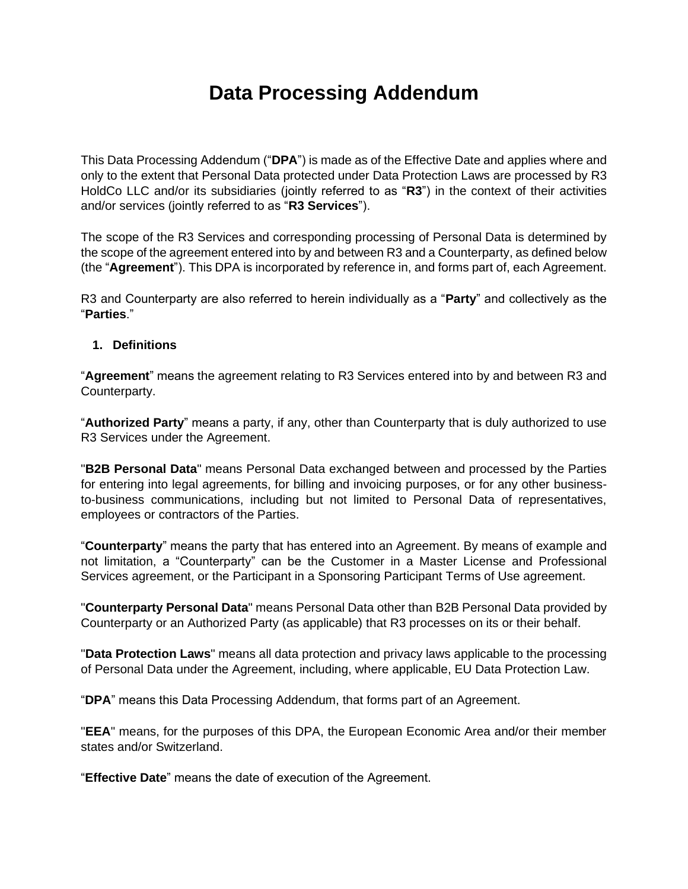# **Data Processing Addendum**

This Data Processing Addendum ("**DPA**") is made as of the Effective Date and applies where and only to the extent that Personal Data protected under Data Protection Laws are processed by R3 HoldCo LLC and/or its subsidiaries (jointly referred to as "**R3**") in the context of their activities and/or services (jointly referred to as "**R3 Services**").

The scope of the R3 Services and corresponding processing of Personal Data is determined by the scope of the agreement entered into by and between R3 and a Counterparty, as defined below (the "**Agreement**"). This DPA is incorporated by reference in, and forms part of, each Agreement.

R3 and Counterparty are also referred to herein individually as a "**Party**" and collectively as the "**Parties**."

# **1. Definitions**

"**Agreement**" means the agreement relating to R3 Services entered into by and between R3 and Counterparty.

"**Authorized Party**" means a party, if any, other than Counterparty that is duly authorized to use R3 Services under the Agreement.

"**B2B Personal Data**" means Personal Data exchanged between and processed by the Parties for entering into legal agreements, for billing and invoicing purposes, or for any other businessto-business communications, including but not limited to Personal Data of representatives, employees or contractors of the Parties.

"**Counterparty**" means the party that has entered into an Agreement. By means of example and not limitation, a "Counterparty" can be the Customer in a Master License and Professional Services agreement, or the Participant in a Sponsoring Participant Terms of Use agreement.

"**Counterparty Personal Data**" means Personal Data other than B2B Personal Data provided by Counterparty or an Authorized Party (as applicable) that R3 processes on its or their behalf.

"**Data Protection Laws**" means all data protection and privacy laws applicable to the processing of Personal Data under the Agreement, including, where applicable, EU Data Protection Law.

"**DPA**" means this Data Processing Addendum, that forms part of an Agreement.

"**EEA**" means, for the purposes of this DPA, the European Economic Area and/or their member states and/or Switzerland.

"**Effective Date**" means the date of execution of the Agreement.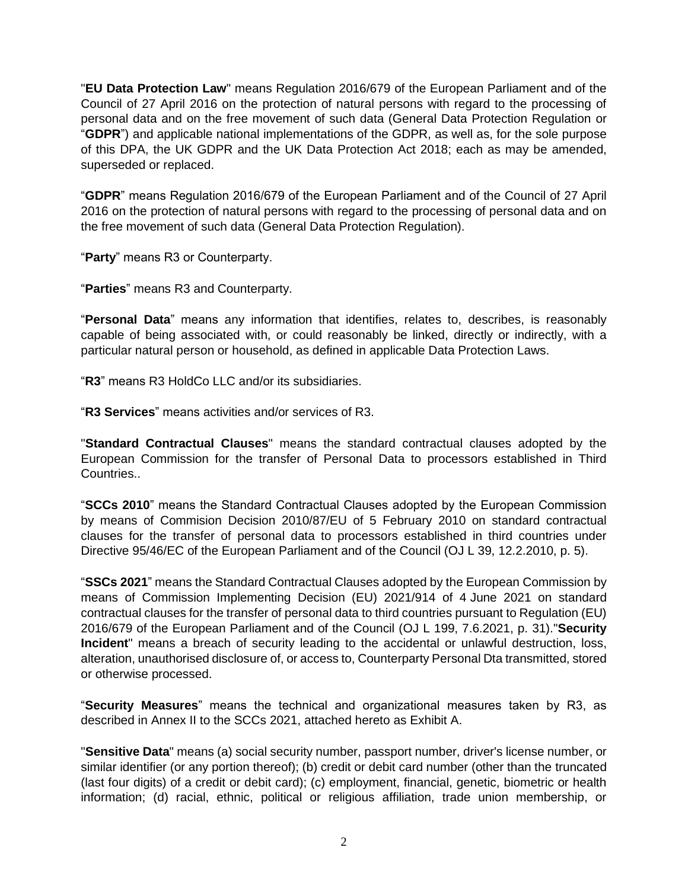"**EU Data Protection Law**" means Regulation 2016/679 of the European Parliament and of the Council of 27 April 2016 on the protection of natural persons with regard to the processing of personal data and on the free movement of such data (General Data Protection Regulation or "**GDPR**") and applicable national implementations of the GDPR, as well as, for the sole purpose of this DPA, the UK GDPR and the UK Data Protection Act 2018; each as may be amended, superseded or replaced.

"**GDPR**" means Regulation 2016/679 of the European Parliament and of the Council of 27 April 2016 on the protection of natural persons with regard to the processing of personal data and on the free movement of such data (General Data Protection Regulation).

"**Party**" means R3 or Counterparty.

"**Parties**" means R3 and Counterparty.

"**Personal Data**" means any information that identifies, relates to, describes, is reasonably capable of being associated with, or could reasonably be linked, directly or indirectly, with a particular natural person or household, as defined in applicable Data Protection Laws.

"**R3**" means R3 HoldCo LLC and/or its subsidiaries.

"**R3 Services**" means activities and/or services of R3.

"**Standard Contractual Clauses**" means the standard contractual clauses adopted by the European Commission for the transfer of Personal Data to processors established in Third Countries..

"**SCCs 2010**" means the Standard Contractual Clauses adopted by the European Commission by means of Commision Decision 2010/87/EU of 5 February 2010 on standard contractual clauses for the transfer of personal data to processors established in third countries under Directive 95/46/EC of the European Parliament and of the Council (OJ L 39, 12.2.2010, p. 5).

"**SSCs 2021**" means the Standard Contractual Clauses adopted by the European Commission by means of Commission Implementing Decision (EU) 2021/914 of 4 June 2021 on standard contractual clauses for the transfer of personal data to third countries pursuant to Regulation (EU) 2016/679 of the European Parliament and of the Council (OJ L 199, 7.6.2021, p. 31)."**Security Incident**" means a breach of security leading to the accidental or unlawful destruction, loss, alteration, unauthorised disclosure of, or access to, Counterparty Personal Dta transmitted, stored or otherwise processed.

"**Security Measures**" means the technical and organizational measures taken by R3, as described in Annex II to the SCCs 2021, attached hereto as Exhibit A.

"**Sensitive Data**" means (a) social security number, passport number, driver's license number, or similar identifier (or any portion thereof); (b) credit or debit card number (other than the truncated (last four digits) of a credit or debit card); (c) employment, financial, genetic, biometric or health information; (d) racial, ethnic, political or religious affiliation, trade union membership, or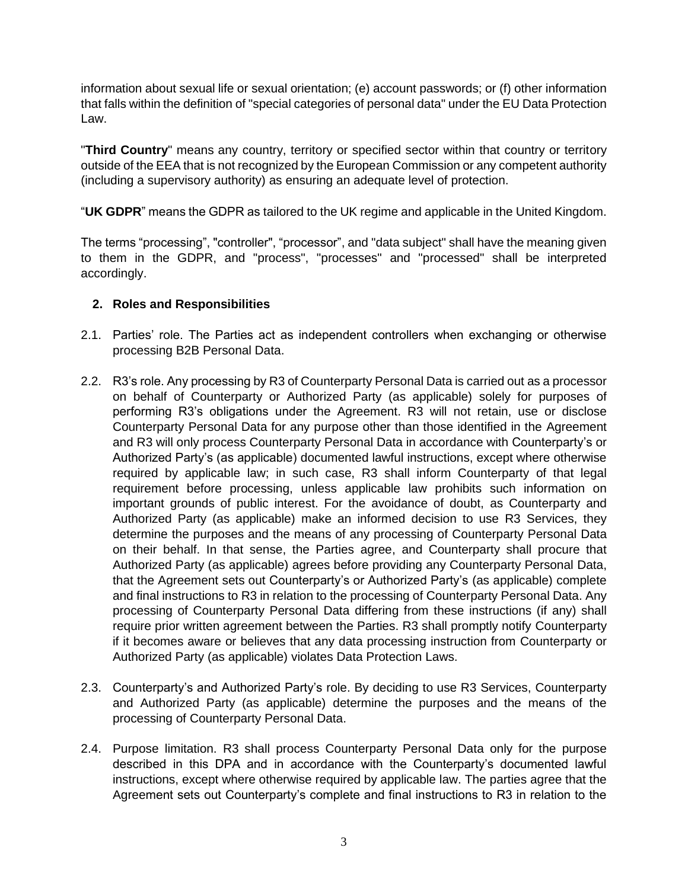information about sexual life or sexual orientation; (e) account passwords; or (f) other information that falls within the definition of "special categories of personal data" under the EU Data Protection Law.

"**Third Country**" means any country, territory or specified sector within that country or territory outside of the EEA that is not recognized by the European Commission or any competent authority (including a supervisory authority) as ensuring an adequate level of protection.

"**UK GDPR**" means the GDPR as tailored to the UK regime and applicable in the United Kingdom.

The terms "processing", "controller", "processor", and "data subject" shall have the meaning given to them in the GDPR, and "process", "processes" and "processed" shall be interpreted accordingly.

# **2. Roles and Responsibilities**

- 2.1. Parties' role. The Parties act as independent controllers when exchanging or otherwise processing B2B Personal Data.
- 2.2. R3's role. Any processing by R3 of Counterparty Personal Data is carried out as a processor on behalf of Counterparty or Authorized Party (as applicable) solely for purposes of performing R3's obligations under the Agreement. R3 will not retain, use or disclose Counterparty Personal Data for any purpose other than those identified in the Agreement and R3 will only process Counterparty Personal Data in accordance with Counterparty's or Authorized Party's (as applicable) documented lawful instructions, except where otherwise required by applicable law; in such case, R3 shall inform Counterparty of that legal requirement before processing, unless applicable law prohibits such information on important grounds of public interest. For the avoidance of doubt, as Counterparty and Authorized Party (as applicable) make an informed decision to use R3 Services, they determine the purposes and the means of any processing of Counterparty Personal Data on their behalf. In that sense, the Parties agree, and Counterparty shall procure that Authorized Party (as applicable) agrees before providing any Counterparty Personal Data, that the Agreement sets out Counterparty's or Authorized Party's (as applicable) complete and final instructions to R3 in relation to the processing of Counterparty Personal Data. Any processing of Counterparty Personal Data differing from these instructions (if any) shall require prior written agreement between the Parties. R3 shall promptly notify Counterparty if it becomes aware or believes that any data processing instruction from Counterparty or Authorized Party (as applicable) violates Data Protection Laws.
- 2.3. Counterparty's and Authorized Party's role. By deciding to use R3 Services, Counterparty and Authorized Party (as applicable) determine the purposes and the means of the processing of Counterparty Personal Data.
- 2.4. Purpose limitation. R3 shall process Counterparty Personal Data only for the purpose described in this DPA and in accordance with the Counterparty's documented lawful instructions, except where otherwise required by applicable law. The parties agree that the Agreement sets out Counterparty's complete and final instructions to R3 in relation to the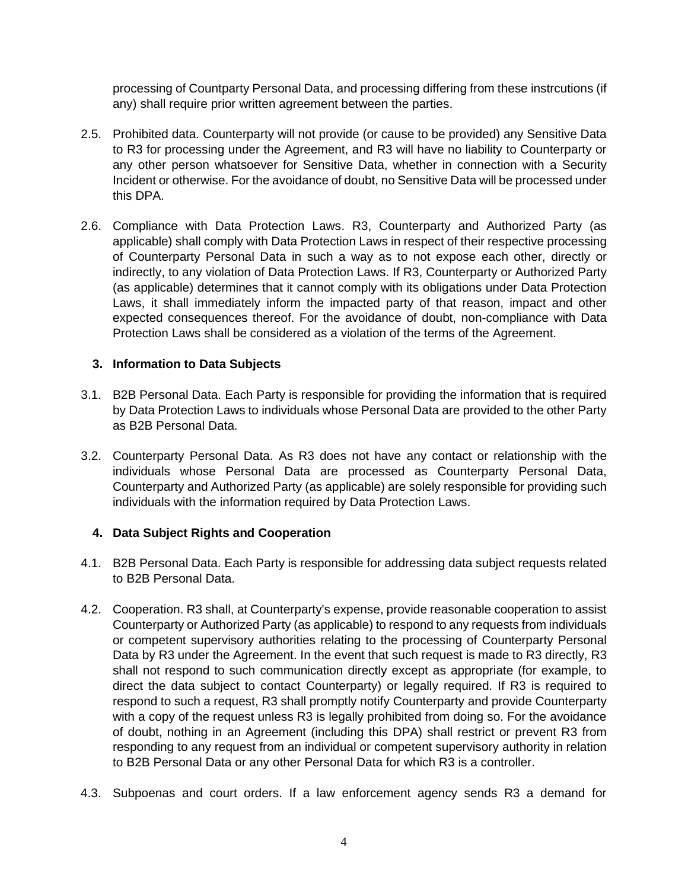processing of Countparty Personal Data, and processing differing from these instrcutions (if any) shall require prior written agreement between the parties.

- 2.5. Prohibited data. Counterparty will not provide (or cause to be provided) any Sensitive Data to R3 for processing under the Agreement, and R3 will have no liability to Counterparty or any other person whatsoever for Sensitive Data, whether in connection with a Security Incident or otherwise. For the avoidance of doubt, no Sensitive Data will be processed under this DPA.
- 2.6. Compliance with Data Protection Laws. R3, Counterparty and Authorized Party (as applicable) shall comply with Data Protection Laws in respect of their respective processing of Counterparty Personal Data in such a way as to not expose each other, directly or indirectly, to any violation of Data Protection Laws. If R3, Counterparty or Authorized Party (as applicable) determines that it cannot comply with its obligations under Data Protection Laws, it shall immediately inform the impacted party of that reason, impact and other expected consequences thereof. For the avoidance of doubt, non-compliance with Data Protection Laws shall be considered as a violation of the terms of the Agreement.

# **3. Information to Data Subjects**

- 3.1. B2B Personal Data. Each Party is responsible for providing the information that is required by Data Protection Laws to individuals whose Personal Data are provided to the other Party as B2B Personal Data.
- 3.2. Counterparty Personal Data. As R3 does not have any contact or relationship with the individuals whose Personal Data are processed as Counterparty Personal Data, Counterparty and Authorized Party (as applicable) are solely responsible for providing such individuals with the information required by Data Protection Laws.

# **4. Data Subject Rights and Cooperation**

- 4.1. B2B Personal Data. Each Party is responsible for addressing data subject requests related to B2B Personal Data.
- 4.2. Cooperation. R3 shall, at Counterparty's expense, provide reasonable cooperation to assist Counterparty or Authorized Party (as applicable) to respond to any requests from individuals or competent supervisory authorities relating to the processing of Counterparty Personal Data by R3 under the Agreement. In the event that such request is made to R3 directly, R3 shall not respond to such communication directly except as appropriate (for example, to direct the data subject to contact Counterparty) or legally required. If R3 is required to respond to such a request, R3 shall promptly notify Counterparty and provide Counterparty with a copy of the request unless R3 is legally prohibited from doing so. For the avoidance of doubt, nothing in an Agreement (including this DPA) shall restrict or prevent R3 from responding to any request from an individual or competent supervisory authority in relation to B2B Personal Data or any other Personal Data for which R3 is a controller.
- 4.3. Subpoenas and court orders. If a law enforcement agency sends R3 a demand for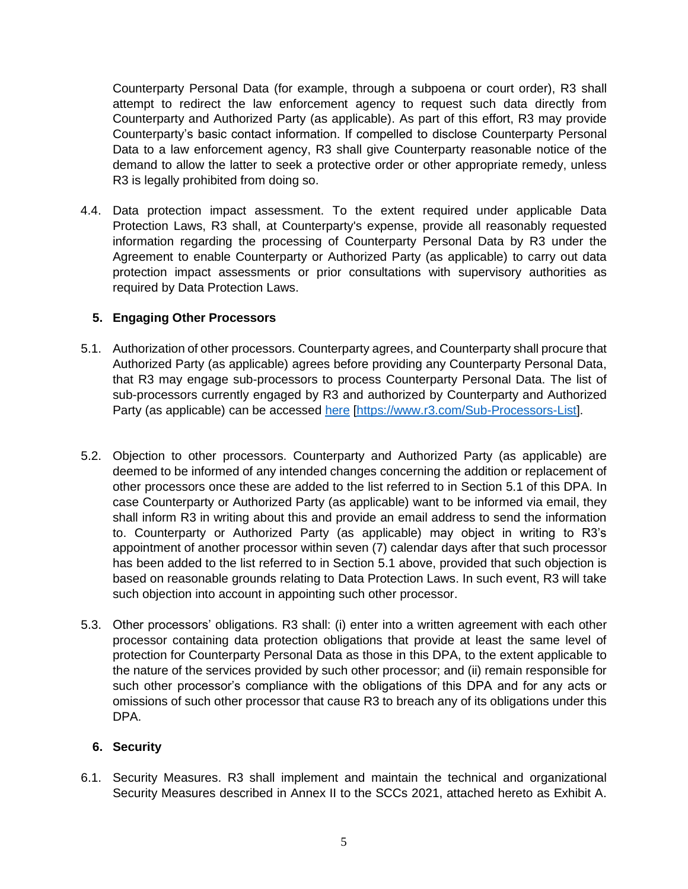Counterparty Personal Data (for example, through a subpoena or court order), R3 shall attempt to redirect the law enforcement agency to request such data directly from Counterparty and Authorized Party (as applicable). As part of this effort, R3 may provide Counterparty's basic contact information. If compelled to disclose Counterparty Personal Data to a law enforcement agency, R3 shall give Counterparty reasonable notice of the demand to allow the latter to seek a protective order or other appropriate remedy, unless R3 is legally prohibited from doing so.

4.4. Data protection impact assessment. To the extent required under applicable Data Protection Laws, R3 shall, at Counterparty's expense, provide all reasonably requested information regarding the processing of Counterparty Personal Data by R3 under the Agreement to enable Counterparty or Authorized Party (as applicable) to carry out data protection impact assessments or prior consultations with supervisory authorities as required by Data Protection Laws.

# **5. Engaging Other Processors**

- 5.1. Authorization of other processors. Counterparty agrees, and Counterparty shall procure that Authorized Party (as applicable) agrees before providing any Counterparty Personal Data, that R3 may engage sub-processors to process Counterparty Personal Data. The list of sub-processors currently engaged by R3 and authorized by Counterparty and Authorized Party (as applicable) can be accessed [here](https://www.r3.com/Sub-Processors-List) [\[https://www.r3.com/Sub-Processors-List\]](https://www.r3.com/Sub-Processors-List).
- 5.2. Objection to other processors. Counterparty and Authorized Party (as applicable) are deemed to be informed of any intended changes concerning the addition or replacement of other processors once these are added to the list referred to in Section 5.1 of this DPA. In case Counterparty or Authorized Party (as applicable) want to be informed via email, they shall inform R3 in writing about this and provide an email address to send the information to. Counterparty or Authorized Party (as applicable) may object in writing to R3's appointment of another processor within seven (7) calendar days after that such processor has been added to the list referred to in Section 5.1 above, provided that such objection is based on reasonable grounds relating to Data Protection Laws. In such event, R3 will take such objection into account in appointing such other processor.
- 5.3. Other processors' obligations. R3 shall: (i) enter into a written agreement with each other processor containing data protection obligations that provide at least the same level of protection for Counterparty Personal Data as those in this DPA, to the extent applicable to the nature of the services provided by such other processor; and (ii) remain responsible for such other processor's compliance with the obligations of this DPA and for any acts or omissions of such other processor that cause R3 to breach any of its obligations under this DPA.

# **6. Security**

6.1. Security Measures. R3 shall implement and maintain the technical and organizational Security Measures described in Annex II to the SCCs 2021, attached hereto as Exhibit A.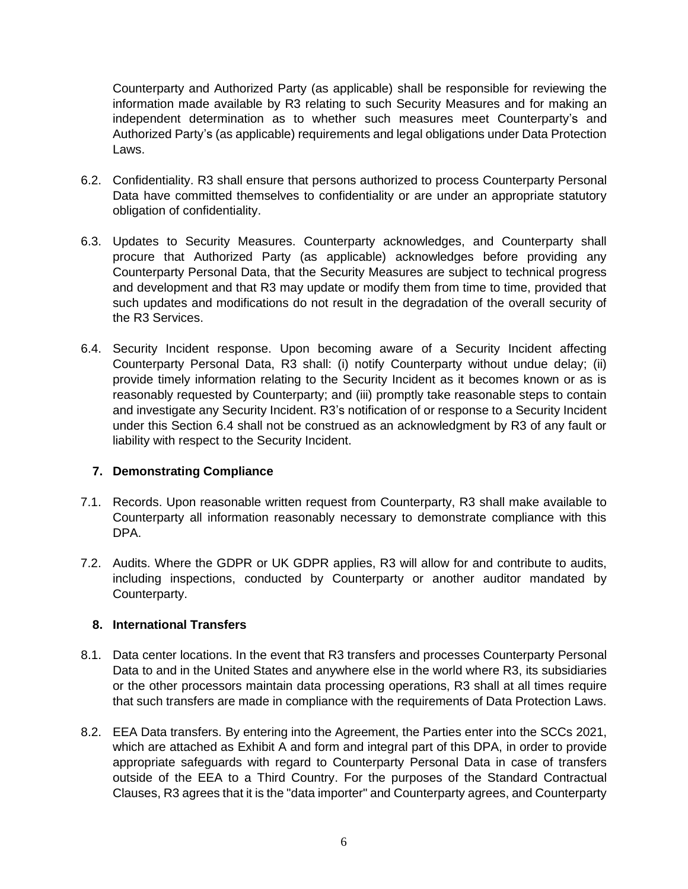Counterparty and Authorized Party (as applicable) shall be responsible for reviewing the information made available by R3 relating to such Security Measures and for making an independent determination as to whether such measures meet Counterparty's and Authorized Party's (as applicable) requirements and legal obligations under Data Protection Laws.

- 6.2. Confidentiality. R3 shall ensure that persons authorized to process Counterparty Personal Data have committed themselves to confidentiality or are under an appropriate statutory obligation of confidentiality.
- 6.3. Updates to Security Measures. Counterparty acknowledges, and Counterparty shall procure that Authorized Party (as applicable) acknowledges before providing any Counterparty Personal Data, that the Security Measures are subject to technical progress and development and that R3 may update or modify them from time to time, provided that such updates and modifications do not result in the degradation of the overall security of the R3 Services.
- 6.4. Security Incident response. Upon becoming aware of a Security Incident affecting Counterparty Personal Data, R3 shall: (i) notify Counterparty without undue delay; (ii) provide timely information relating to the Security Incident as it becomes known or as is reasonably requested by Counterparty; and (iii) promptly take reasonable steps to contain and investigate any Security Incident. R3's notification of or response to a Security Incident under this Section 6.4 shall not be construed as an acknowledgment by R3 of any fault or liability with respect to the Security Incident.

# **7. Demonstrating Compliance**

- 7.1. Records. Upon reasonable written request from Counterparty, R3 shall make available to Counterparty all information reasonably necessary to demonstrate compliance with this DPA.
- 7.2. Audits. Where the GDPR or UK GDPR applies, R3 will allow for and contribute to audits, including inspections, conducted by Counterparty or another auditor mandated by Counterparty.

# **8. International Transfers**

- 8.1. Data center locations. In the event that R3 transfers and processes Counterparty Personal Data to and in the United States and anywhere else in the world where R3, its subsidiaries or the other processors maintain data processing operations, R3 shall at all times require that such transfers are made in compliance with the requirements of Data Protection Laws.
- 8.2. EEA Data transfers. By entering into the Agreement, the Parties enter into the SCCs 2021, which are attached as Exhibit A and form and integral part of this DPA, in order to provide appropriate safeguards with regard to Counterparty Personal Data in case of transfers outside of the EEA to a Third Country. For the purposes of the Standard Contractual Clauses, R3 agrees that it is the "data importer" and Counterparty agrees, and Counterparty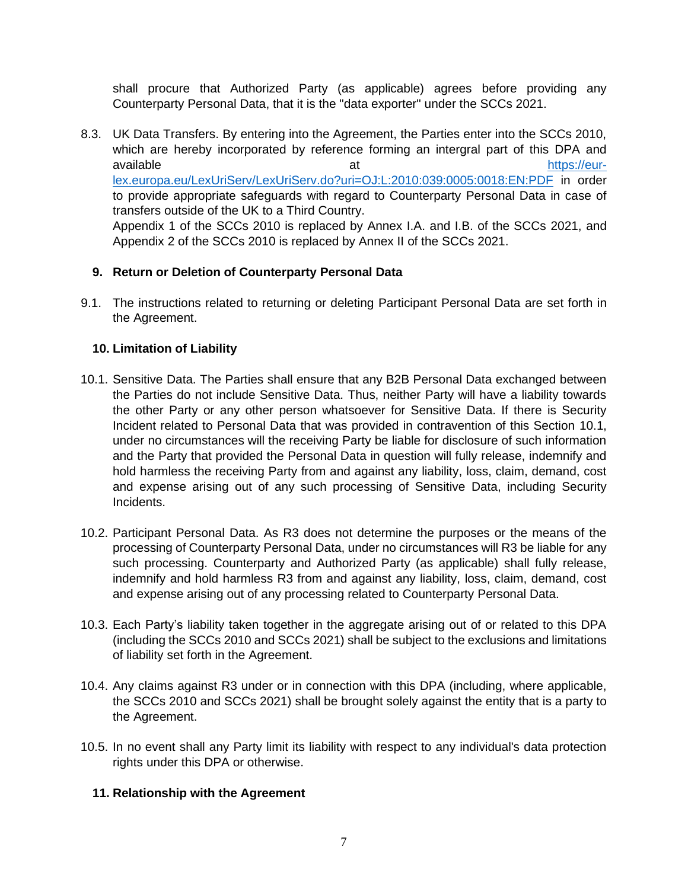shall procure that Authorized Party (as applicable) agrees before providing any Counterparty Personal Data, that it is the "data exporter" under the SCCs 2021.

8.3. UK Data Transfers. By entering into the Agreement, the Parties enter into the SCCs 2010, which are hereby incorporated by reference forming an intergral part of this DPA and available at the [https://eur](https://eur-lex.europa.eu/LexUriServ/LexUriServ.do?uri=OJ:L:2010:039:0005:0018:EN:PDF)[lex.europa.eu/LexUriServ/LexUriServ.do?uri=OJ:L:2010:039:0005:0018:EN:PDF](https://eur-lex.europa.eu/LexUriServ/LexUriServ.do?uri=OJ:L:2010:039:0005:0018:EN:PDF) in order to provide appropriate safeguards with regard to Counterparty Personal Data in case of transfers outside of the UK to a Third Country. Appendix 1 of the SCCs 2010 is replaced by Annex I.A. and I.B. of the SCCs 2021, and Appendix 2 of the SCCs 2010 is replaced by Annex II of the SCCs 2021.

# **9. Return or Deletion of Counterparty Personal Data**

9.1. The instructions related to returning or deleting Participant Personal Data are set forth in the Agreement.

# **10. Limitation of Liability**

- 10.1. Sensitive Data. The Parties shall ensure that any B2B Personal Data exchanged between the Parties do not include Sensitive Data. Thus, neither Party will have a liability towards the other Party or any other person whatsoever for Sensitive Data. If there is Security Incident related to Personal Data that was provided in contravention of this Section 10.1, under no circumstances will the receiving Party be liable for disclosure of such information and the Party that provided the Personal Data in question will fully release, indemnify and hold harmless the receiving Party from and against any liability, loss, claim, demand, cost and expense arising out of any such processing of Sensitive Data, including Security Incidents.
- 10.2. Participant Personal Data. As R3 does not determine the purposes or the means of the processing of Counterparty Personal Data, under no circumstances will R3 be liable for any such processing. Counterparty and Authorized Party (as applicable) shall fully release, indemnify and hold harmless R3 from and against any liability, loss, claim, demand, cost and expense arising out of any processing related to Counterparty Personal Data.
- 10.3. Each Party's liability taken together in the aggregate arising out of or related to this DPA (including the SCCs 2010 and SCCs 2021) shall be subject to the exclusions and limitations of liability set forth in the Agreement.
- 10.4. Any claims against R3 under or in connection with this DPA (including, where applicable, the SCCs 2010 and SCCs 2021) shall be brought solely against the entity that is a party to the Agreement.
- 10.5. In no event shall any Party limit its liability with respect to any individual's data protection rights under this DPA or otherwise.

# **11. Relationship with the Agreement**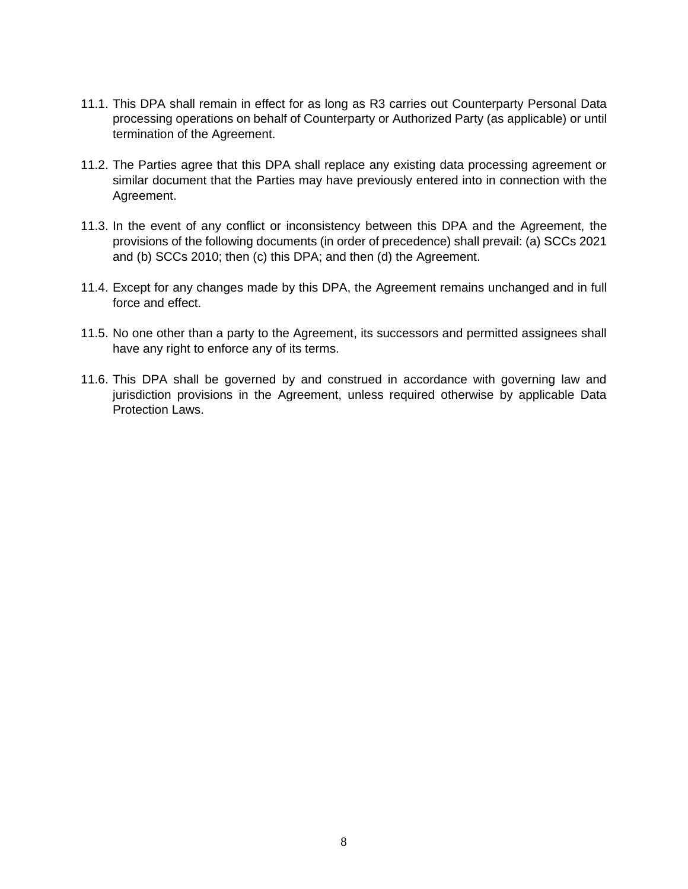- 11.1. This DPA shall remain in effect for as long as R3 carries out Counterparty Personal Data processing operations on behalf of Counterparty or Authorized Party (as applicable) or until termination of the Agreement.
- 11.2. The Parties agree that this DPA shall replace any existing data processing agreement or similar document that the Parties may have previously entered into in connection with the Agreement.
- 11.3. In the event of any conflict or inconsistency between this DPA and the Agreement, the provisions of the following documents (in order of precedence) shall prevail: (a) SCCs 2021 and (b) SCCs 2010; then (c) this DPA; and then (d) the Agreement.
- 11.4. Except for any changes made by this DPA, the Agreement remains unchanged and in full force and effect.
- 11.5. No one other than a party to the Agreement, its successors and permitted assignees shall have any right to enforce any of its terms.
- 11.6. This DPA shall be governed by and construed in accordance with governing law and jurisdiction provisions in the Agreement, unless required otherwise by applicable Data Protection Laws.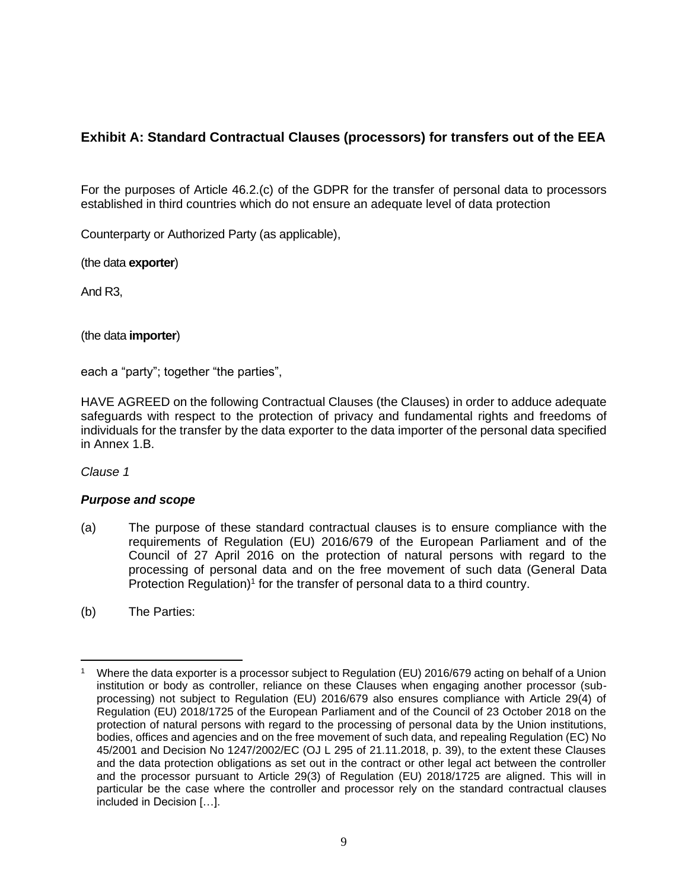# **Exhibit A: Standard Contractual Clauses (processors) for transfers out of the EEA**

For the purposes of Article 46.2.(c) of the GDPR for the transfer of personal data to processors established in third countries which do not ensure an adequate level of data protection

Counterparty or Authorized Party (as applicable),

(the data **exporter**)

And R3,

### (the data **importer**)

each a "party"; together "the parties",

HAVE AGREED on the following Contractual Clauses (the Clauses) in order to adduce adequate safeguards with respect to the protection of privacy and fundamental rights and freedoms of individuals for the transfer by the data exporter to the data importer of the personal data specified in Annex 1.B.

*Clause 1*

# *Purpose and scope*

- (a) The purpose of these standard contractual clauses is to ensure compliance with the requirements of Regulation (EU) 2016/679 of the European Parliament and of the Council of 27 April 2016 on the protection of natural persons with regard to the processing of personal data and on the free movement of such data (General Data Protection Regulation)<sup>1</sup> for the transfer of personal data to a third country.
- (b) The Parties:

Where the data exporter is a processor subject to Regulation (EU) 2016/679 acting on behalf of a Union institution or body as controller, reliance on these Clauses when engaging another processor (subprocessing) not subject to Regulation (EU) 2016/679 also ensures compliance with Article 29(4) of Regulation (EU) 2018/1725 of the European Parliament and of the Council of 23 October 2018 on the protection of natural persons with regard to the processing of personal data by the Union institutions, bodies, offices and agencies and on the free movement of such data, and repealing Regulation (EC) No 45/2001 and Decision No 1247/2002/EC (OJ L 295 of 21.11.2018, p. 39), to the extent these Clauses and the data protection obligations as set out in the contract or other legal act between the controller and the processor pursuant to Article 29(3) of Regulation (EU) 2018/1725 are aligned. This will in particular be the case where the controller and processor rely on the standard contractual clauses included in Decision […].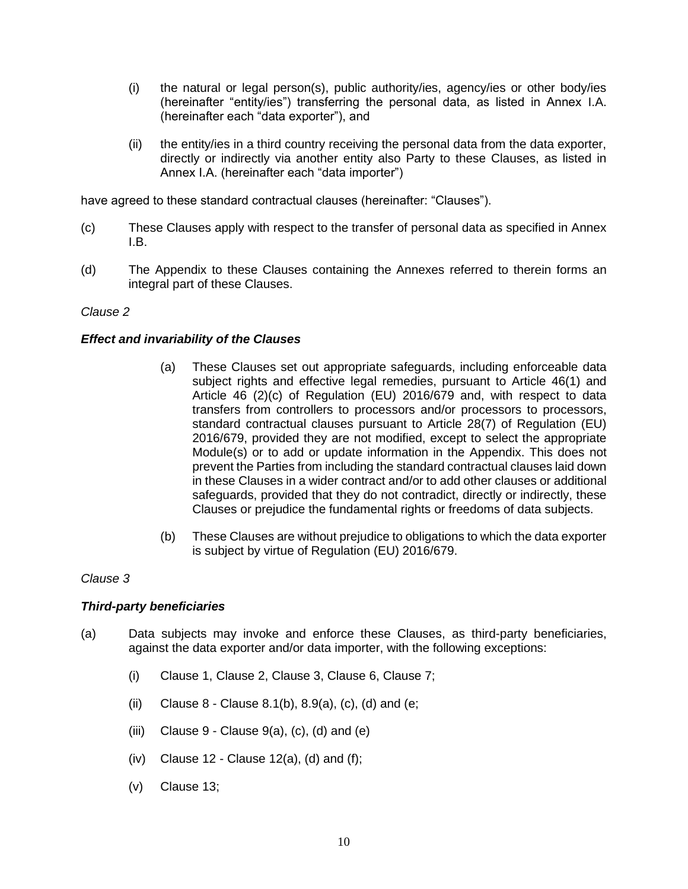- (i) the natural or legal person(s), public authority/ies, agency/ies or other body/ies (hereinafter "entity/ies") transferring the personal data, as listed in Annex I.A. (hereinafter each "data exporter"), and
- (ii) the entity/ies in a third country receiving the personal data from the data exporter, directly or indirectly via another entity also Party to these Clauses, as listed in Annex I.A. (hereinafter each "data importer")

have agreed to these standard contractual clauses (hereinafter: "Clauses").

- (c) These Clauses apply with respect to the transfer of personal data as specified in Annex I.B.
- (d) The Appendix to these Clauses containing the Annexes referred to therein forms an integral part of these Clauses.

### *Clause 2*

#### *Effect and invariability of the Clauses*

- (a) These Clauses set out appropriate safeguards, including enforceable data subject rights and effective legal remedies, pursuant to Article 46(1) and Article 46 (2)(c) of Regulation (EU) 2016/679 and, with respect to data transfers from controllers to processors and/or processors to processors, standard contractual clauses pursuant to Article 28(7) of Regulation (EU) 2016/679, provided they are not modified, except to select the appropriate Module(s) or to add or update information in the Appendix. This does not prevent the Parties from including the standard contractual clauses laid down in these Clauses in a wider contract and/or to add other clauses or additional safeguards, provided that they do not contradict, directly or indirectly, these Clauses or prejudice the fundamental rights or freedoms of data subjects.
- (b) These Clauses are without prejudice to obligations to which the data exporter is subject by virtue of Regulation (EU) 2016/679.

#### *Clause 3*

#### *Third-party beneficiaries*

- (a) Data subjects may invoke and enforce these Clauses, as third-party beneficiaries, against the data exporter and/or data importer, with the following exceptions:
	- (i) Clause 1, Clause 2, Clause 3, Clause 6, Clause 7;
	- (ii) Clause  $8 -$  Clause  $8.1(b)$ ,  $8.9(a)$ ,  $(c)$ ,  $(d)$  and  $(e;$
	- (iii) Clause  $9$  Clause  $9(a)$ , (c), (d) and (e)
	- (iv) Clause 12 Clause 12(a), (d) and (f);
	- (v) Clause 13;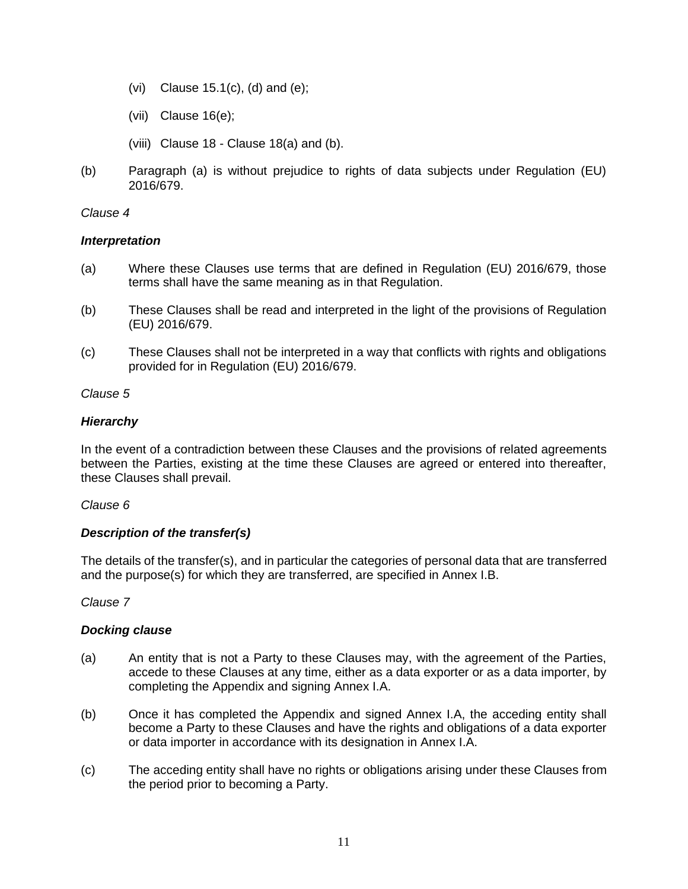- (vi) Clause  $15.1(c)$ , (d) and (e);
- (vii) Clause 16(e);
- (viii) Clause 18 Clause 18(a) and (b).
- (b) Paragraph (a) is without prejudice to rights of data subjects under Regulation (EU) 2016/679.

### *Clause 4*

### *Interpretation*

- (a) Where these Clauses use terms that are defined in Regulation (EU) 2016/679, those terms shall have the same meaning as in that Regulation.
- (b) These Clauses shall be read and interpreted in the light of the provisions of Regulation (EU) 2016/679.
- (c) These Clauses shall not be interpreted in a way that conflicts with rights and obligations provided for in Regulation (EU) 2016/679.

### *Clause 5*

# *Hierarchy*

In the event of a contradiction between these Clauses and the provisions of related agreements between the Parties, existing at the time these Clauses are agreed or entered into thereafter, these Clauses shall prevail.

#### *Clause 6*

# *Description of the transfer(s)*

The details of the transfer(s), and in particular the categories of personal data that are transferred and the purpose(s) for which they are transferred, are specified in Annex I.B.

#### *Clause 7*

# *Docking clause*

- (a) An entity that is not a Party to these Clauses may, with the agreement of the Parties, accede to these Clauses at any time, either as a data exporter or as a data importer, by completing the Appendix and signing Annex I.A.
- (b) Once it has completed the Appendix and signed Annex I.A, the acceding entity shall become a Party to these Clauses and have the rights and obligations of a data exporter or data importer in accordance with its designation in Annex I.A.
- (c) The acceding entity shall have no rights or obligations arising under these Clauses from the period prior to becoming a Party.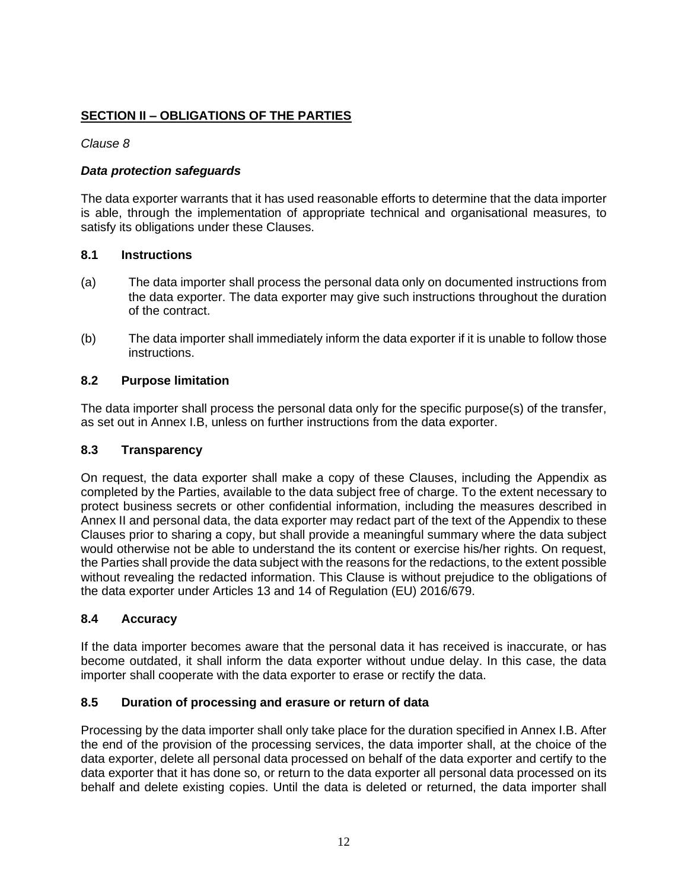# **SECTION II – OBLIGATIONS OF THE PARTIES**

*Clause 8*

# *Data protection safeguards*

The data exporter warrants that it has used reasonable efforts to determine that the data importer is able, through the implementation of appropriate technical and organisational measures, to satisfy its obligations under these Clauses.

# **8.1 Instructions**

- (a) The data importer shall process the personal data only on documented instructions from the data exporter. The data exporter may give such instructions throughout the duration of the contract.
- (b) The data importer shall immediately inform the data exporter if it is unable to follow those instructions.

# **8.2 Purpose limitation**

The data importer shall process the personal data only for the specific purpose(s) of the transfer, as set out in Annex I.B, unless on further instructions from the data exporter.

# **8.3 Transparency**

On request, the data exporter shall make a copy of these Clauses, including the Appendix as completed by the Parties, available to the data subject free of charge. To the extent necessary to protect business secrets or other confidential information, including the measures described in Annex II and personal data, the data exporter may redact part of the text of the Appendix to these Clauses prior to sharing a copy, but shall provide a meaningful summary where the data subject would otherwise not be able to understand the its content or exercise his/her rights. On request, the Parties shall provide the data subject with the reasons for the redactions, to the extent possible without revealing the redacted information. This Clause is without prejudice to the obligations of the data exporter under Articles 13 and 14 of Regulation (EU) 2016/679.

# **8.4 Accuracy**

If the data importer becomes aware that the personal data it has received is inaccurate, or has become outdated, it shall inform the data exporter without undue delay. In this case, the data importer shall cooperate with the data exporter to erase or rectify the data.

# **8.5 Duration of processing and erasure or return of data**

Processing by the data importer shall only take place for the duration specified in Annex I.B. After the end of the provision of the processing services, the data importer shall, at the choice of the data exporter, delete all personal data processed on behalf of the data exporter and certify to the data exporter that it has done so, or return to the data exporter all personal data processed on its behalf and delete existing copies. Until the data is deleted or returned, the data importer shall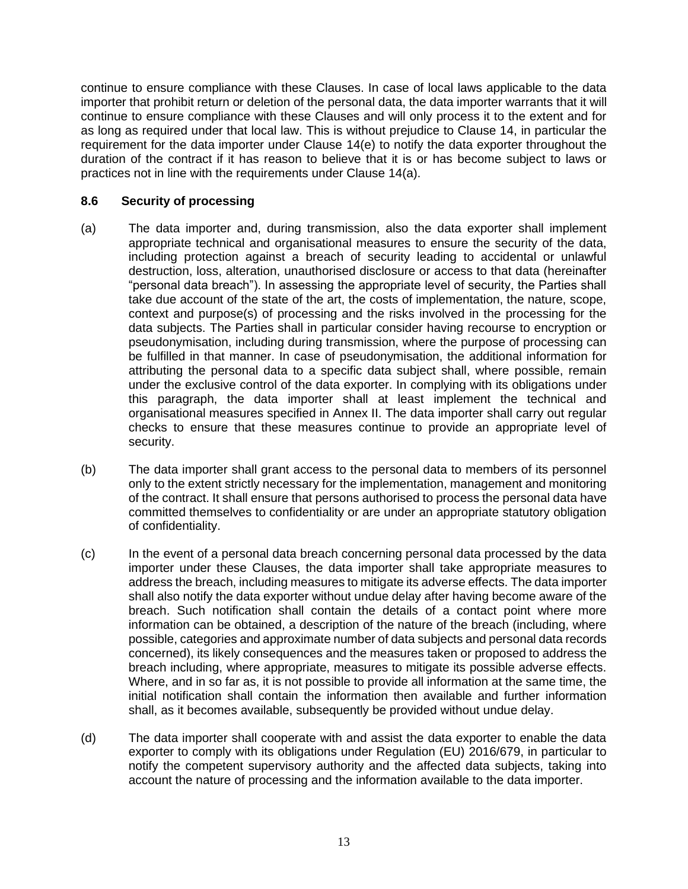continue to ensure compliance with these Clauses. In case of local laws applicable to the data importer that prohibit return or deletion of the personal data, the data importer warrants that it will continue to ensure compliance with these Clauses and will only process it to the extent and for as long as required under that local law. This is without prejudice to Clause 14, in particular the requirement for the data importer under Clause 14(e) to notify the data exporter throughout the duration of the contract if it has reason to believe that it is or has become subject to laws or practices not in line with the requirements under Clause 14(a).

# **8.6 Security of processing**

- (a) The data importer and, during transmission, also the data exporter shall implement appropriate technical and organisational measures to ensure the security of the data, including protection against a breach of security leading to accidental or unlawful destruction, loss, alteration, unauthorised disclosure or access to that data (hereinafter "personal data breach"). In assessing the appropriate level of security, the Parties shall take due account of the state of the art, the costs of implementation, the nature, scope, context and purpose(s) of processing and the risks involved in the processing for the data subjects. The Parties shall in particular consider having recourse to encryption or pseudonymisation, including during transmission, where the purpose of processing can be fulfilled in that manner. In case of pseudonymisation, the additional information for attributing the personal data to a specific data subject shall, where possible, remain under the exclusive control of the data exporter. In complying with its obligations under this paragraph, the data importer shall at least implement the technical and organisational measures specified in Annex II. The data importer shall carry out regular checks to ensure that these measures continue to provide an appropriate level of security.
- (b) The data importer shall grant access to the personal data to members of its personnel only to the extent strictly necessary for the implementation, management and monitoring of the contract. It shall ensure that persons authorised to process the personal data have committed themselves to confidentiality or are under an appropriate statutory obligation of confidentiality.
- (c) In the event of a personal data breach concerning personal data processed by the data importer under these Clauses, the data importer shall take appropriate measures to address the breach, including measures to mitigate its adverse effects. The data importer shall also notify the data exporter without undue delay after having become aware of the breach. Such notification shall contain the details of a contact point where more information can be obtained, a description of the nature of the breach (including, where possible, categories and approximate number of data subjects and personal data records concerned), its likely consequences and the measures taken or proposed to address the breach including, where appropriate, measures to mitigate its possible adverse effects. Where, and in so far as, it is not possible to provide all information at the same time, the initial notification shall contain the information then available and further information shall, as it becomes available, subsequently be provided without undue delay.
- (d) The data importer shall cooperate with and assist the data exporter to enable the data exporter to comply with its obligations under Regulation (EU) 2016/679, in particular to notify the competent supervisory authority and the affected data subjects, taking into account the nature of processing and the information available to the data importer.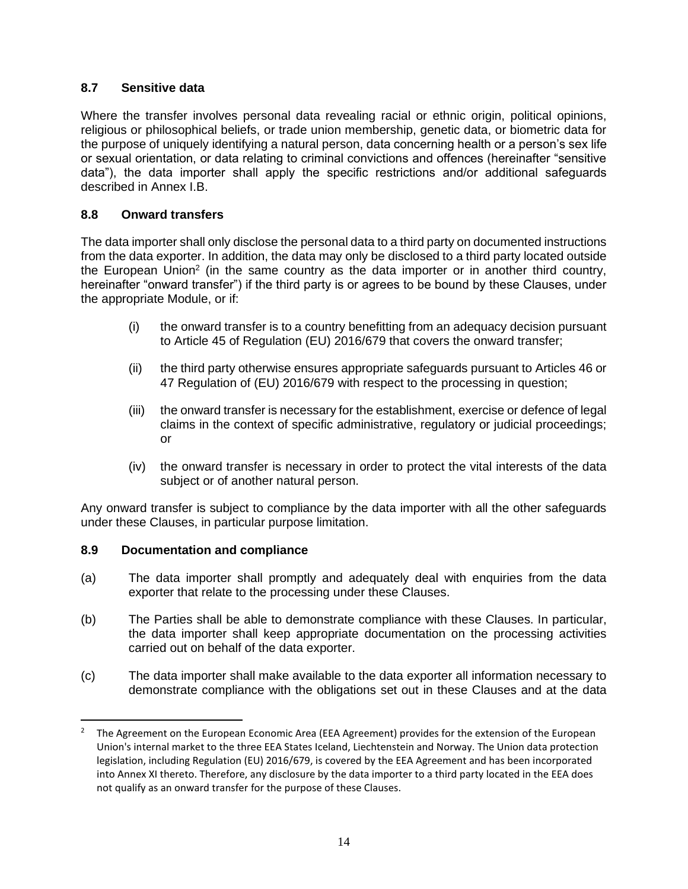# **8.7 Sensitive data**

Where the transfer involves personal data revealing racial or ethnic origin, political opinions, religious or philosophical beliefs, or trade union membership, genetic data, or biometric data for the purpose of uniquely identifying a natural person, data concerning health or a person's sex life or sexual orientation, or data relating to criminal convictions and offences (hereinafter "sensitive data"), the data importer shall apply the specific restrictions and/or additional safeguards described in Annex I.B.

# **8.8 Onward transfers**

The data importer shall only disclose the personal data to a third party on documented instructions from the data exporter. In addition, the data may only be disclosed to a third party located outside the European Union<sup>2</sup> (in the same country as the data importer or in another third country, hereinafter "onward transfer") if the third party is or agrees to be bound by these Clauses, under the appropriate Module, or if:

- (i) the onward transfer is to a country benefitting from an adequacy decision pursuant to Article 45 of Regulation (EU) 2016/679 that covers the onward transfer;
- (ii) the third party otherwise ensures appropriate safeguards pursuant to Articles 46 or 47 Regulation of (EU) 2016/679 with respect to the processing in question;
- (iii) the onward transfer is necessary for the establishment, exercise or defence of legal claims in the context of specific administrative, regulatory or judicial proceedings; or
- (iv) the onward transfer is necessary in order to protect the vital interests of the data subject or of another natural person.

Any onward transfer is subject to compliance by the data importer with all the other safeguards under these Clauses, in particular purpose limitation.

# **8.9 Documentation and compliance**

- (a) The data importer shall promptly and adequately deal with enquiries from the data exporter that relate to the processing under these Clauses.
- (b) The Parties shall be able to demonstrate compliance with these Clauses. In particular, the data importer shall keep appropriate documentation on the processing activities carried out on behalf of the data exporter.
- (c) The data importer shall make available to the data exporter all information necessary to demonstrate compliance with the obligations set out in these Clauses and at the data

<sup>2</sup> The Agreement on the European Economic Area (EEA Agreement) provides for the extension of the European Union's internal market to the three EEA States Iceland, Liechtenstein and Norway. The Union data protection legislation, including Regulation (EU) 2016/679, is covered by the EEA Agreement and has been incorporated into Annex XI thereto. Therefore, any disclosure by the data importer to a third party located in the EEA does not qualify as an onward transfer for the purpose of these Clauses.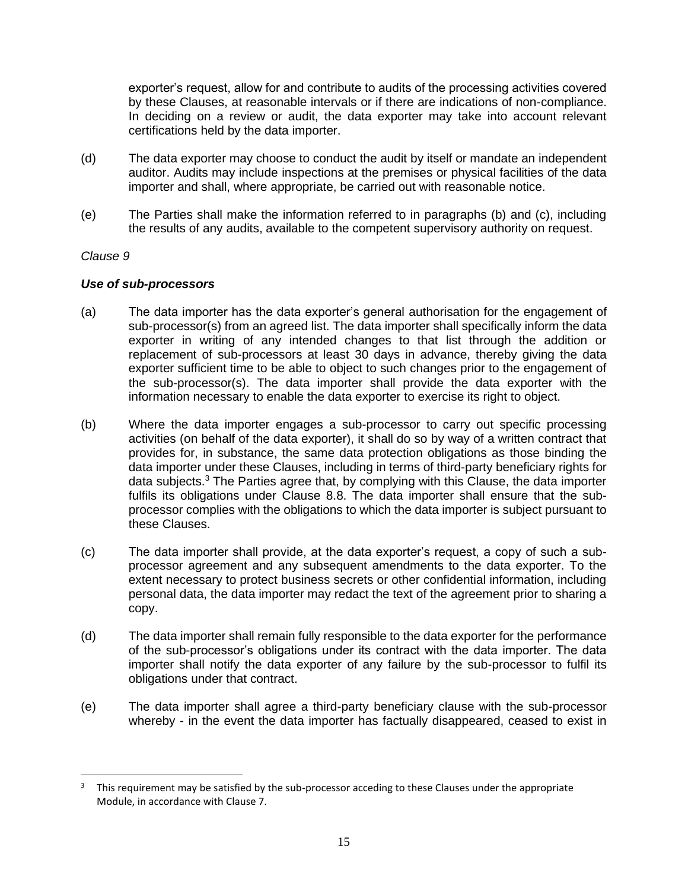exporter's request, allow for and contribute to audits of the processing activities covered by these Clauses, at reasonable intervals or if there are indications of non-compliance. In deciding on a review or audit, the data exporter may take into account relevant certifications held by the data importer.

- (d) The data exporter may choose to conduct the audit by itself or mandate an independent auditor. Audits may include inspections at the premises or physical facilities of the data importer and shall, where appropriate, be carried out with reasonable notice.
- (e) The Parties shall make the information referred to in paragraphs (b) and (c), including the results of any audits, available to the competent supervisory authority on request.

### *Clause 9*

### *Use of sub-processors*

- (a) The data importer has the data exporter's general authorisation for the engagement of sub-processor(s) from an agreed list. The data importer shall specifically inform the data exporter in writing of any intended changes to that list through the addition or replacement of sub-processors at least 30 days in advance, thereby giving the data exporter sufficient time to be able to object to such changes prior to the engagement of the sub-processor(s). The data importer shall provide the data exporter with the information necessary to enable the data exporter to exercise its right to object.
- (b) Where the data importer engages a sub-processor to carry out specific processing activities (on behalf of the data exporter), it shall do so by way of a written contract that provides for, in substance, the same data protection obligations as those binding the data importer under these Clauses, including in terms of third-party beneficiary rights for data subjects.<sup>3</sup> The Parties agree that, by complying with this Clause, the data importer fulfils its obligations under Clause 8.8. The data importer shall ensure that the subprocessor complies with the obligations to which the data importer is subject pursuant to these Clauses.
- (c) The data importer shall provide, at the data exporter's request, a copy of such a subprocessor agreement and any subsequent amendments to the data exporter. To the extent necessary to protect business secrets or other confidential information, including personal data, the data importer may redact the text of the agreement prior to sharing a copy.
- (d) The data importer shall remain fully responsible to the data exporter for the performance of the sub-processor's obligations under its contract with the data importer. The data importer shall notify the data exporter of any failure by the sub-processor to fulfil its obligations under that contract.
- (e) The data importer shall agree a third-party beneficiary clause with the sub-processor whereby - in the event the data importer has factually disappeared, ceased to exist in

This requirement may be satisfied by the sub-processor acceding to these Clauses under the appropriate Module, in accordance with Clause 7.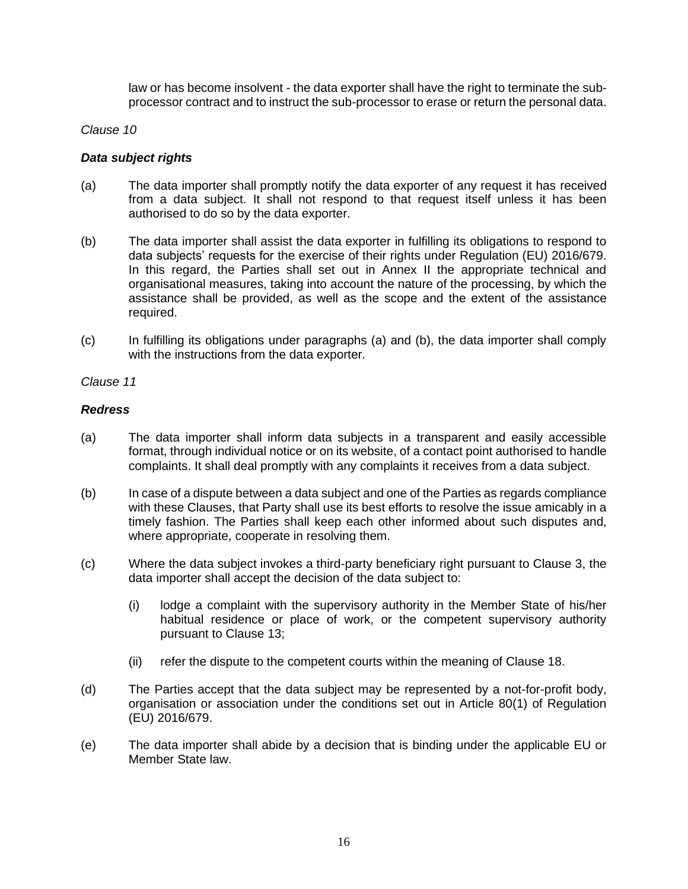law or has become insolvent - the data exporter shall have the right to terminate the subprocessor contract and to instruct the sub-processor to erase or return the personal data.

### *Clause 10*

### *Data subject rights*

- (a) The data importer shall promptly notify the data exporter of any request it has received from a data subject. It shall not respond to that request itself unless it has been authorised to do so by the data exporter.
- (b) The data importer shall assist the data exporter in fulfilling its obligations to respond to data subjects' requests for the exercise of their rights under Regulation (EU) 2016/679. In this regard, the Parties shall set out in Annex II the appropriate technical and organisational measures, taking into account the nature of the processing, by which the assistance shall be provided, as well as the scope and the extent of the assistance required.
- (c) In fulfilling its obligations under paragraphs (a) and (b), the data importer shall comply with the instructions from the data exporter.

#### *Clause 11*

#### *Redress*

- (a) The data importer shall inform data subjects in a transparent and easily accessible format, through individual notice or on its website, of a contact point authorised to handle complaints. It shall deal promptly with any complaints it receives from a data subject.
- (b) In case of a dispute between a data subject and one of the Parties as regards compliance with these Clauses, that Party shall use its best efforts to resolve the issue amicably in a timely fashion. The Parties shall keep each other informed about such disputes and, where appropriate, cooperate in resolving them.
- (c) Where the data subject invokes a third-party beneficiary right pursuant to Clause 3, the data importer shall accept the decision of the data subject to:
	- (i) lodge a complaint with the supervisory authority in the Member State of his/her habitual residence or place of work, or the competent supervisory authority pursuant to Clause 13;
	- (ii) refer the dispute to the competent courts within the meaning of Clause 18.
- (d) The Parties accept that the data subject may be represented by a not-for-profit body, organisation or association under the conditions set out in Article 80(1) of Regulation (EU) 2016/679.
- (e) The data importer shall abide by a decision that is binding under the applicable EU or Member State law.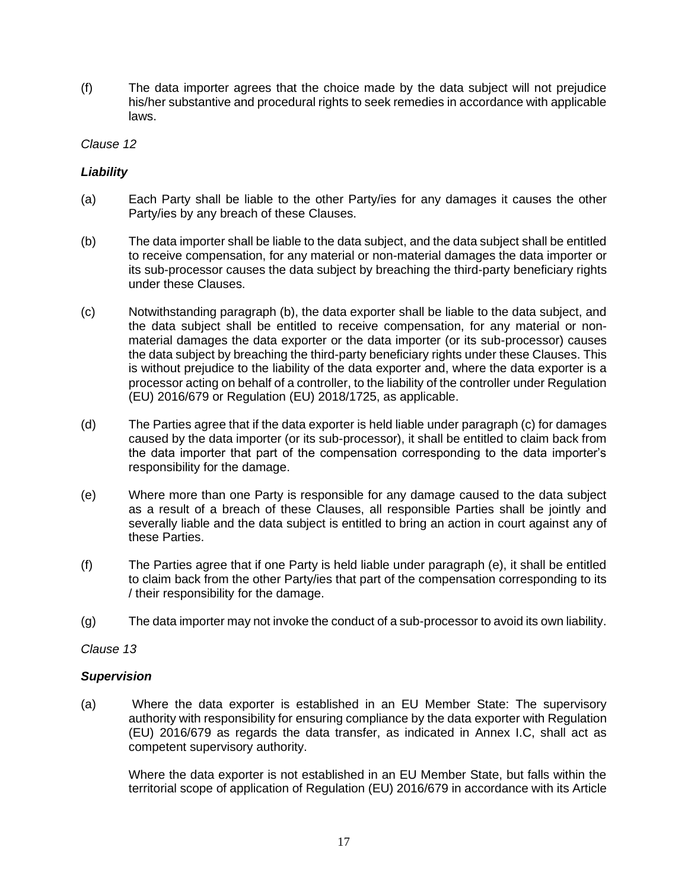(f) The data importer agrees that the choice made by the data subject will not prejudice his/her substantive and procedural rights to seek remedies in accordance with applicable laws.

### *Clause 12*

# *Liability*

- (a) Each Party shall be liable to the other Party/ies for any damages it causes the other Party/ies by any breach of these Clauses.
- (b) The data importer shall be liable to the data subject, and the data subject shall be entitled to receive compensation, for any material or non-material damages the data importer or its sub-processor causes the data subject by breaching the third-party beneficiary rights under these Clauses.
- (c) Notwithstanding paragraph (b), the data exporter shall be liable to the data subject, and the data subject shall be entitled to receive compensation, for any material or nonmaterial damages the data exporter or the data importer (or its sub-processor) causes the data subject by breaching the third-party beneficiary rights under these Clauses. This is without prejudice to the liability of the data exporter and, where the data exporter is a processor acting on behalf of a controller, to the liability of the controller under Regulation (EU) 2016/679 or Regulation (EU) 2018/1725, as applicable.
- (d) The Parties agree that if the data exporter is held liable under paragraph (c) for damages caused by the data importer (or its sub-processor), it shall be entitled to claim back from the data importer that part of the compensation corresponding to the data importer's responsibility for the damage.
- (e) Where more than one Party is responsible for any damage caused to the data subject as a result of a breach of these Clauses, all responsible Parties shall be jointly and severally liable and the data subject is entitled to bring an action in court against any of these Parties.
- (f) The Parties agree that if one Party is held liable under paragraph (e), it shall be entitled to claim back from the other Party/ies that part of the compensation corresponding to its / their responsibility for the damage.
- (g) The data importer may not invoke the conduct of a sub-processor to avoid its own liability.

#### *Clause 13*

#### *Supervision*

(a) Where the data exporter is established in an EU Member State: The supervisory authority with responsibility for ensuring compliance by the data exporter with Regulation (EU) 2016/679 as regards the data transfer, as indicated in Annex I.C, shall act as competent supervisory authority.

Where the data exporter is not established in an EU Member State, but falls within the territorial scope of application of Regulation (EU) 2016/679 in accordance with its Article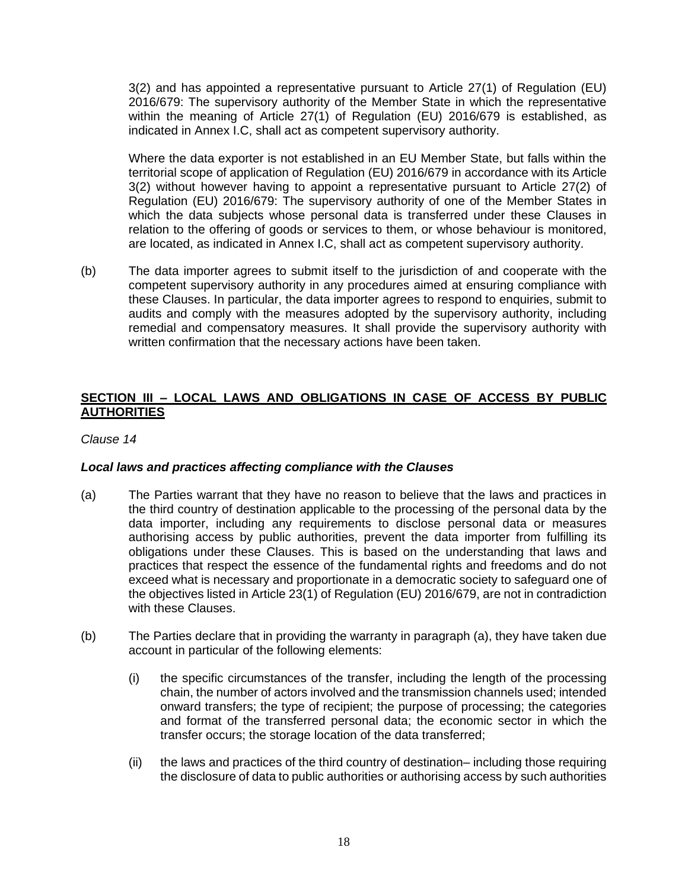3(2) and has appointed a representative pursuant to Article 27(1) of Regulation (EU) 2016/679: The supervisory authority of the Member State in which the representative within the meaning of Article 27(1) of Regulation (EU) 2016/679 is established, as indicated in Annex I.C, shall act as competent supervisory authority.

Where the data exporter is not established in an EU Member State, but falls within the territorial scope of application of Regulation (EU) 2016/679 in accordance with its Article 3(2) without however having to appoint a representative pursuant to Article 27(2) of Regulation (EU) 2016/679: The supervisory authority of one of the Member States in which the data subjects whose personal data is transferred under these Clauses in relation to the offering of goods or services to them, or whose behaviour is monitored, are located, as indicated in Annex I.C, shall act as competent supervisory authority.

(b) The data importer agrees to submit itself to the jurisdiction of and cooperate with the competent supervisory authority in any procedures aimed at ensuring compliance with these Clauses. In particular, the data importer agrees to respond to enquiries, submit to audits and comply with the measures adopted by the supervisory authority, including remedial and compensatory measures. It shall provide the supervisory authority with written confirmation that the necessary actions have been taken.

# **SECTION III – LOCAL LAWS AND OBLIGATIONS IN CASE OF ACCESS BY PUBLIC AUTHORITIES**

# *Clause 14*

# *Local laws and practices affecting compliance with the Clauses*

- (a) The Parties warrant that they have no reason to believe that the laws and practices in the third country of destination applicable to the processing of the personal data by the data importer, including any requirements to disclose personal data or measures authorising access by public authorities, prevent the data importer from fulfilling its obligations under these Clauses. This is based on the understanding that laws and practices that respect the essence of the fundamental rights and freedoms and do not exceed what is necessary and proportionate in a democratic society to safeguard one of the objectives listed in Article 23(1) of Regulation (EU) 2016/679, are not in contradiction with these Clauses.
- (b) The Parties declare that in providing the warranty in paragraph (a), they have taken due account in particular of the following elements:
	- (i) the specific circumstances of the transfer, including the length of the processing chain, the number of actors involved and the transmission channels used; intended onward transfers; the type of recipient; the purpose of processing; the categories and format of the transferred personal data; the economic sector in which the transfer occurs; the storage location of the data transferred;
	- (ii) the laws and practices of the third country of destination– including those requiring the disclosure of data to public authorities or authorising access by such authorities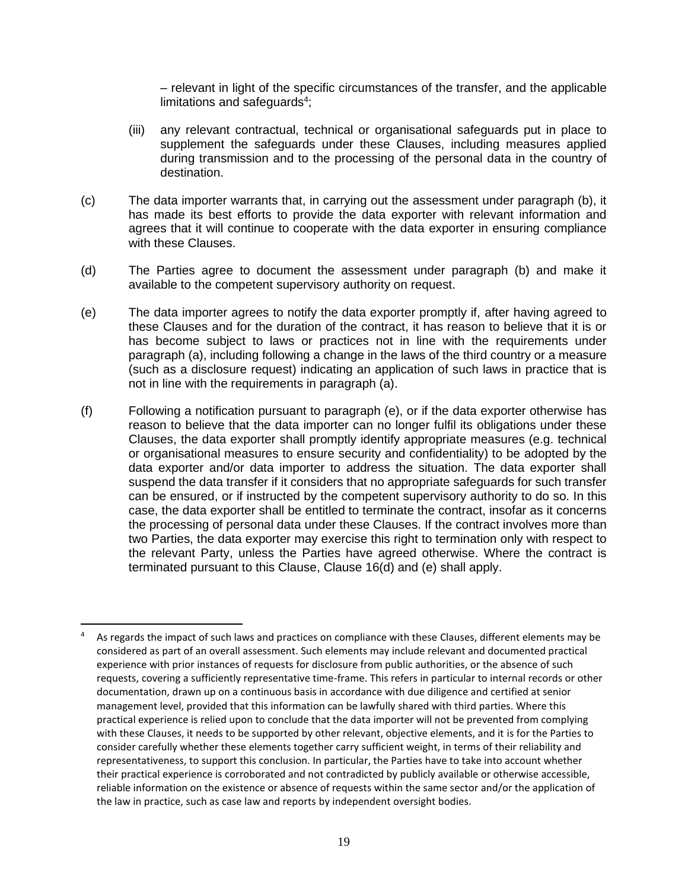– relevant in light of the specific circumstances of the transfer, and the applicable limitations and safeguards<sup>4</sup>;

- (iii) any relevant contractual, technical or organisational safeguards put in place to supplement the safeguards under these Clauses, including measures applied during transmission and to the processing of the personal data in the country of destination.
- (c) The data importer warrants that, in carrying out the assessment under paragraph (b), it has made its best efforts to provide the data exporter with relevant information and agrees that it will continue to cooperate with the data exporter in ensuring compliance with these Clauses.
- (d) The Parties agree to document the assessment under paragraph (b) and make it available to the competent supervisory authority on request.
- (e) The data importer agrees to notify the data exporter promptly if, after having agreed to these Clauses and for the duration of the contract, it has reason to believe that it is or has become subject to laws or practices not in line with the requirements under paragraph (a), including following a change in the laws of the third country or a measure (such as a disclosure request) indicating an application of such laws in practice that is not in line with the requirements in paragraph (a).
- (f) Following a notification pursuant to paragraph (e), or if the data exporter otherwise has reason to believe that the data importer can no longer fulfil its obligations under these Clauses, the data exporter shall promptly identify appropriate measures (e.g. technical or organisational measures to ensure security and confidentiality) to be adopted by the data exporter and/or data importer to address the situation. The data exporter shall suspend the data transfer if it considers that no appropriate safeguards for such transfer can be ensured, or if instructed by the competent supervisory authority to do so. In this case, the data exporter shall be entitled to terminate the contract, insofar as it concerns the processing of personal data under these Clauses. If the contract involves more than two Parties, the data exporter may exercise this right to termination only with respect to the relevant Party, unless the Parties have agreed otherwise. Where the contract is terminated pursuant to this Clause, Clause 16(d) and (e) shall apply.

<sup>4</sup> As regards the impact of such laws and practices on compliance with these Clauses, different elements may be considered as part of an overall assessment. Such elements may include relevant and documented practical experience with prior instances of requests for disclosure from public authorities, or the absence of such requests, covering a sufficiently representative time-frame. This refers in particular to internal records or other documentation, drawn up on a continuous basis in accordance with due diligence and certified at senior management level, provided that this information can be lawfully shared with third parties. Where this practical experience is relied upon to conclude that the data importer will not be prevented from complying with these Clauses, it needs to be supported by other relevant, objective elements, and it is for the Parties to consider carefully whether these elements together carry sufficient weight, in terms of their reliability and representativeness, to support this conclusion. In particular, the Parties have to take into account whether their practical experience is corroborated and not contradicted by publicly available or otherwise accessible, reliable information on the existence or absence of requests within the same sector and/or the application of the law in practice, such as case law and reports by independent oversight bodies.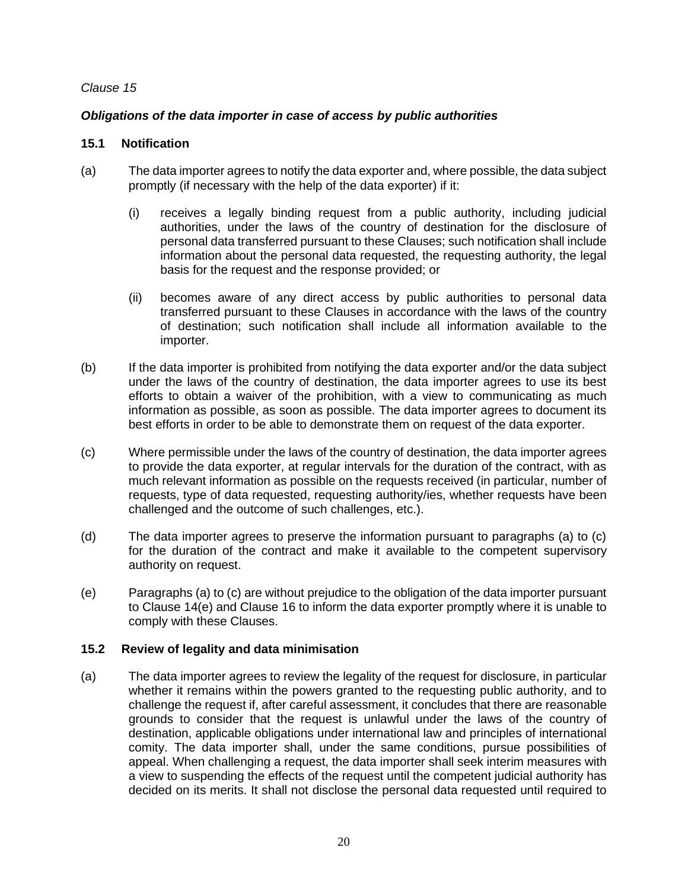### *Clause 15*

# *Obligations of the data importer in case of access by public authorities*

### **15.1 Notification**

- (a) The data importer agrees to notify the data exporter and, where possible, the data subject promptly (if necessary with the help of the data exporter) if it:
	- (i) receives a legally binding request from a public authority, including judicial authorities, under the laws of the country of destination for the disclosure of personal data transferred pursuant to these Clauses; such notification shall include information about the personal data requested, the requesting authority, the legal basis for the request and the response provided; or
	- (ii) becomes aware of any direct access by public authorities to personal data transferred pursuant to these Clauses in accordance with the laws of the country of destination; such notification shall include all information available to the importer.
- (b) If the data importer is prohibited from notifying the data exporter and/or the data subject under the laws of the country of destination, the data importer agrees to use its best efforts to obtain a waiver of the prohibition, with a view to communicating as much information as possible, as soon as possible. The data importer agrees to document its best efforts in order to be able to demonstrate them on request of the data exporter.
- (c) Where permissible under the laws of the country of destination, the data importer agrees to provide the data exporter, at regular intervals for the duration of the contract, with as much relevant information as possible on the requests received (in particular, number of requests, type of data requested, requesting authority/ies, whether requests have been challenged and the outcome of such challenges, etc.).
- (d) The data importer agrees to preserve the information pursuant to paragraphs (a) to (c) for the duration of the contract and make it available to the competent supervisory authority on request.
- (e) Paragraphs (a) to (c) are without prejudice to the obligation of the data importer pursuant to Clause 14(e) and Clause 16 to inform the data exporter promptly where it is unable to comply with these Clauses.

#### **15.2 Review of legality and data minimisation**

(a) The data importer agrees to review the legality of the request for disclosure, in particular whether it remains within the powers granted to the requesting public authority, and to challenge the request if, after careful assessment, it concludes that there are reasonable grounds to consider that the request is unlawful under the laws of the country of destination, applicable obligations under international law and principles of international comity. The data importer shall, under the same conditions, pursue possibilities of appeal. When challenging a request, the data importer shall seek interim measures with a view to suspending the effects of the request until the competent judicial authority has decided on its merits. It shall not disclose the personal data requested until required to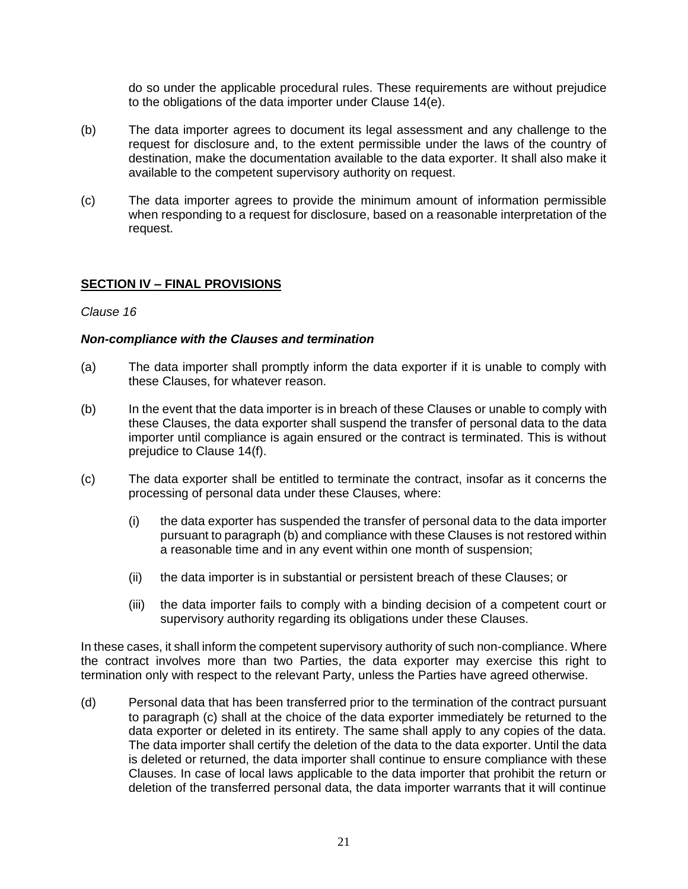do so under the applicable procedural rules. These requirements are without prejudice to the obligations of the data importer under Clause 14(e).

- (b) The data importer agrees to document its legal assessment and any challenge to the request for disclosure and, to the extent permissible under the laws of the country of destination, make the documentation available to the data exporter. It shall also make it available to the competent supervisory authority on request.
- (c) The data importer agrees to provide the minimum amount of information permissible when responding to a request for disclosure, based on a reasonable interpretation of the request.

# **SECTION IV – FINAL PROVISIONS**

### *Clause 16*

### *Non-compliance with the Clauses and termination*

- (a) The data importer shall promptly inform the data exporter if it is unable to comply with these Clauses, for whatever reason.
- (b) In the event that the data importer is in breach of these Clauses or unable to comply with these Clauses, the data exporter shall suspend the transfer of personal data to the data importer until compliance is again ensured or the contract is terminated. This is without prejudice to Clause 14(f).
- (c) The data exporter shall be entitled to terminate the contract, insofar as it concerns the processing of personal data under these Clauses, where:
	- (i) the data exporter has suspended the transfer of personal data to the data importer pursuant to paragraph (b) and compliance with these Clauses is not restored within a reasonable time and in any event within one month of suspension;
	- (ii) the data importer is in substantial or persistent breach of these Clauses; or
	- (iii) the data importer fails to comply with a binding decision of a competent court or supervisory authority regarding its obligations under these Clauses.

In these cases, it shall inform the competent supervisory authority of such non-compliance. Where the contract involves more than two Parties, the data exporter may exercise this right to termination only with respect to the relevant Party, unless the Parties have agreed otherwise.

(d) Personal data that has been transferred prior to the termination of the contract pursuant to paragraph (c) shall at the choice of the data exporter immediately be returned to the data exporter or deleted in its entirety. The same shall apply to any copies of the data. The data importer shall certify the deletion of the data to the data exporter. Until the data is deleted or returned, the data importer shall continue to ensure compliance with these Clauses. In case of local laws applicable to the data importer that prohibit the return or deletion of the transferred personal data, the data importer warrants that it will continue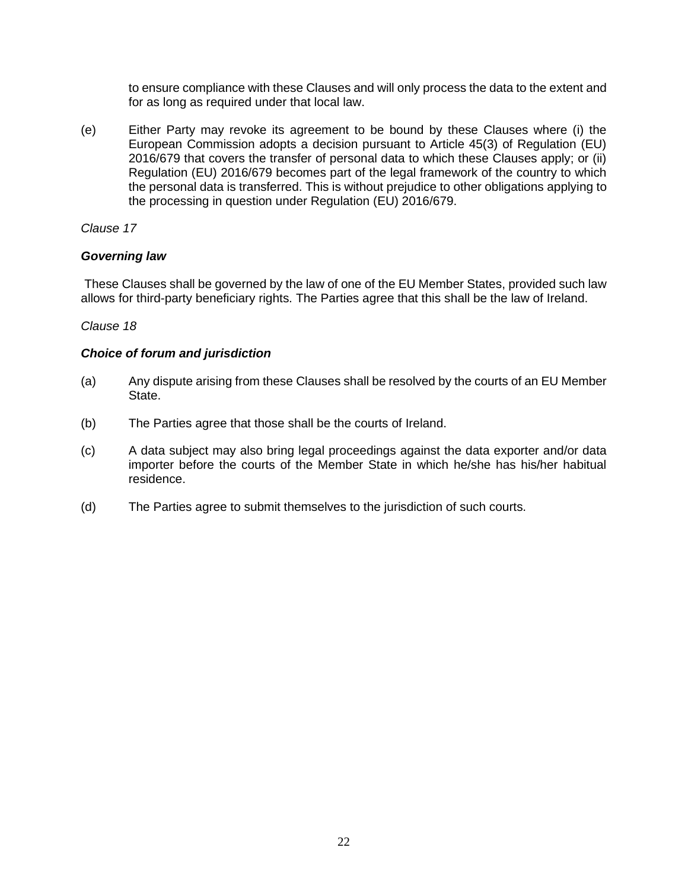to ensure compliance with these Clauses and will only process the data to the extent and for as long as required under that local law.

(e) Either Party may revoke its agreement to be bound by these Clauses where (i) the European Commission adopts a decision pursuant to Article 45(3) of Regulation (EU) 2016/679 that covers the transfer of personal data to which these Clauses apply; or (ii) Regulation (EU) 2016/679 becomes part of the legal framework of the country to which the personal data is transferred. This is without prejudice to other obligations applying to the processing in question under Regulation (EU) 2016/679.

# *Clause 17*

# *Governing law*

These Clauses shall be governed by the law of one of the EU Member States, provided such law allows for third-party beneficiary rights. The Parties agree that this shall be the law of Ireland.

# *Clause 18*

# *Choice of forum and jurisdiction*

- (a) Any dispute arising from these Clauses shall be resolved by the courts of an EU Member State.
- (b) The Parties agree that those shall be the courts of Ireland.
- (c) A data subject may also bring legal proceedings against the data exporter and/or data importer before the courts of the Member State in which he/she has his/her habitual residence.
- (d) The Parties agree to submit themselves to the jurisdiction of such courts.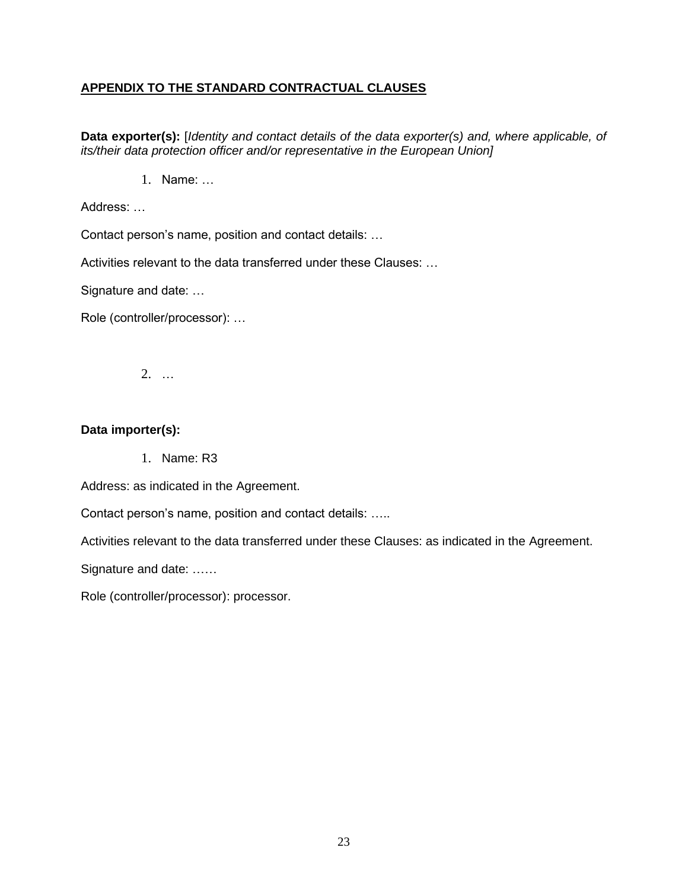# **APPENDIX TO THE STANDARD CONTRACTUAL CLAUSES**

**Data exporter(s):** [*Identity and contact details of the data exporter(s) and, where applicable, of its/their data protection officer and/or representative in the European Union]* 

1. Name: …

Address: …

Contact person's name, position and contact details: …

Activities relevant to the data transferred under these Clauses: …

Signature and date: …

Role (controller/processor): …

2. …

# **Data importer(s):**

1. Name: R3

Address: as indicated in the Agreement.

Contact person's name, position and contact details: …..

Activities relevant to the data transferred under these Clauses: as indicated in the Agreement.

Signature and date: ……

Role (controller/processor): processor.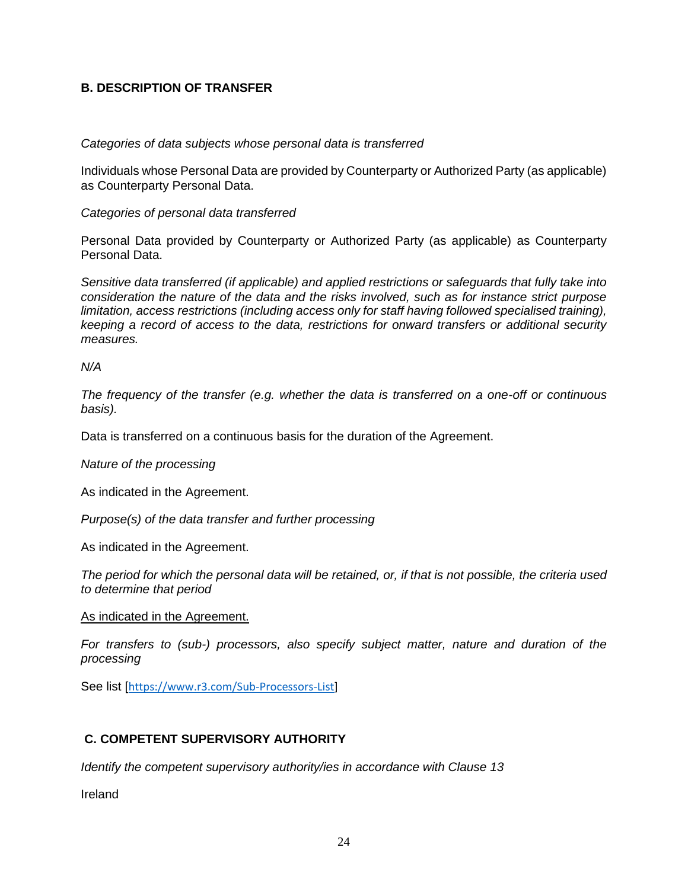# **B. DESCRIPTION OF TRANSFER**

#### *Categories of data subjects whose personal data is transferred*

Individuals whose Personal Data are provided by Counterparty or Authorized Party (as applicable) as Counterparty Personal Data.

#### *Categories of personal data transferred*

Personal Data provided by Counterparty or Authorized Party (as applicable) as Counterparty Personal Data.

*Sensitive data transferred (if applicable) and applied restrictions or safeguards that fully take into consideration the nature of the data and the risks involved, such as for instance strict purpose limitation, access restrictions (including access only for staff having followed specialised training), keeping a record of access to the data, restrictions for onward transfers or additional security measures.* 

#### *N/A*

*The frequency of the transfer (e.g. whether the data is transferred on a one-off or continuous basis).* 

Data is transferred on a continuous basis for the duration of the Agreement.

*Nature of the processing* 

As indicated in the Agreement.

*Purpose(s) of the data transfer and further processing* 

As indicated in the Agreement.

*The period for which the personal data will be retained, or, if that is not possible, the criteria used to determine that period* 

#### As indicated in the Agreement.

*For transfers to (sub-) processors, also specify subject matter, nature and duration of the processing* 

See list [[https://www.r3.com/Sub-Processors-List\]](https://nam04.safelinks.protection.outlook.com/?url=https%3A%2F%2Fwww.r3.com%2FSub-Processors-List&data=04%7C01%7C%7C9e6b468ecfe14c383efe08d98da008b2%7Ca4be1f2e2d10419587cd736aca9b672c%7C0%7C0%7C637696540745932337%7CUnknown%7CTWFpbGZsb3d8eyJWIjoiMC4wLjAwMDAiLCJQIjoiV2luMzIiLCJBTiI6Ik1haWwiLCJXVCI6Mn0%3D%7C1000&sdata=pmEL7%2BAwuLXvSMAS2R3DO8pnCrsYNQgtTx%2BcgKuJ%2FQI%3D&reserved=0)

# **C. COMPETENT SUPERVISORY AUTHORITY**

*Identify the competent supervisory authority/ies in accordance with Clause 13*

Ireland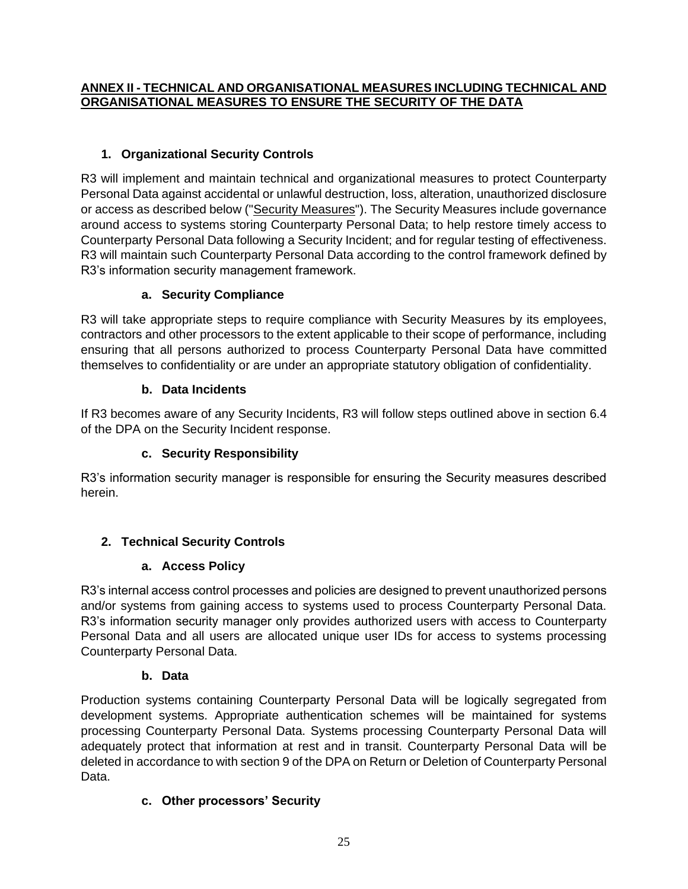# **ANNEX II - TECHNICAL AND ORGANISATIONAL MEASURES INCLUDING TECHNICAL AND ORGANISATIONAL MEASURES TO ENSURE THE SECURITY OF THE DATA**

# **1. Organizational Security Controls**

R3 will implement and maintain technical and organizational measures to protect Counterparty Personal Data against accidental or unlawful destruction, loss, alteration, unauthorized disclosure or access as described below ("Security Measures"). The Security Measures include governance around access to systems storing Counterparty Personal Data; to help restore timely access to Counterparty Personal Data following a Security Incident; and for regular testing of effectiveness. R3 will maintain such Counterparty Personal Data according to the control framework defined by R3's information security management framework.

# **a. Security Compliance**

R3 will take appropriate steps to require compliance with Security Measures by its employees, contractors and other processors to the extent applicable to their scope of performance, including ensuring that all persons authorized to process Counterparty Personal Data have committed themselves to confidentiality or are under an appropriate statutory obligation of confidentiality.

# **b. Data Incidents**

If R3 becomes aware of any Security Incidents, R3 will follow steps outlined above in section 6.4 of the DPA on the Security Incident response.

# **c. Security Responsibility**

R3's information security manager is responsible for ensuring the Security measures described herein.

# **2. Technical Security Controls**

# **a. Access Policy**

R3's internal access control processes and policies are designed to prevent unauthorized persons and/or systems from gaining access to systems used to process Counterparty Personal Data. R3's information security manager only provides authorized users with access to Counterparty Personal Data and all users are allocated unique user IDs for access to systems processing Counterparty Personal Data.

# **b. Data**

Production systems containing Counterparty Personal Data will be logically segregated from development systems. Appropriate authentication schemes will be maintained for systems processing Counterparty Personal Data. Systems processing Counterparty Personal Data will adequately protect that information at rest and in transit. Counterparty Personal Data will be deleted in accordance to with section 9 of the DPA on Return or Deletion of Counterparty Personal Data.

# **c. Other processors' Security**